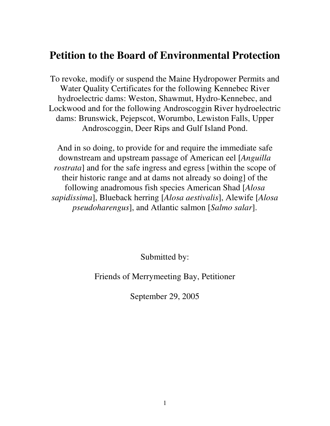## **Petition to the Board of Environmental Protection**

To revoke, modify or suspend the Maine Hydropower Permits and Water Quality Certificates for the following Kennebec River hydroelectric dams: Weston, Shawmut, Hydro-Kennebec, and Lockwood and for the following Androscoggin River hydroelectric dams: Brunswick, Pejepscot, Worumbo, Lewiston Falls, Upper Androscoggin, Deer Rips and Gulf Island Pond.

And in so doing, to provide for and require the immediate safe downstream and upstream passage of American eel [*Anguilla rostrata*] and for the safe ingress and egress [within the scope of their historic range and at dams not already so doing] of the following anadromous fish species American Shad [*Alosa sapidissima*], Blueback herring [*Alosa aestivalis*], Alewife [*Alosa pseudoharengus*], and Atlantic salmon [*Salmo salar*].

Submitted by:

Friends of Merrymeeting Bay, Petitioner

September 29, 2005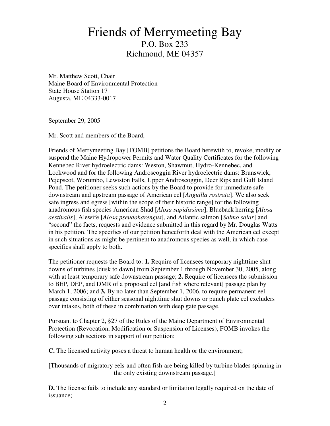## Friends of Merrymeeting Bay P.O. Box 233 Richmond, ME 04357

Mr. Matthew Scott, Chair Maine Board of Environmental Protection State House Station 17 Augusta, ME 04333-0017

September 29, 2005

Mr. Scott and members of the Board,

Friends of Merrymeeting Bay [FOMB] petitions the Board herewith to, revoke, modify or suspend the Maine Hydropower Permits and Water Quality Certificates for the following Kennebec River hydroelectric dams: Weston, Shawmut, Hydro-Kennebec, and Lockwood and for the following Androscoggin River hydroelectric dams: Brunswick, Pejepscot, Worumbo, Lewiston Falls, Upper Androscoggin, Deer Rips and Gulf Island Pond. The petitioner seeks such actions by the Board to provide for immediate safe downstream and upstream passage of American eel [*Anguilla rostrata*]. We also seek safe ingress and egress [within the scope of their historic range] for the following anadromous fish species American Shad [*Alosa sapidissima*], Blueback herring [*Alosa aestivalis*], Alewife [*Alosa pseudoharengus*], and Atlantic salmon [*Salmo salar*] and "second" the facts, requests and evidence submitted in this regard by Mr. Douglas Watts in his petition. The specifics of our petition henceforth deal with the American eel except in such situations as might be pertinent to anadromous species as well, in which case specifics shall apply to both.

The petitioner requests the Board to: **1.** Require of licensees temporary nighttime shut downs of turbines [dusk to dawn] from September 1 through November 30, 2005, along with at least temporary safe downstream passage; **2.** Require of licensees the submission to BEP, DEP, and DMR of a proposed eel [and fish where relevant] passage plan by March 1, 2006; and **3.** By no later than September 1, 2006, to require permanent eel passage consisting of either seasonal nighttime shut downs or punch plate eel excluders over intakes, both of these in combination with deep gate passage.

Pursuant to Chapter 2, §27 of the Rules of the Maine Department of Environmental Protection (Revocation, Modification or Suspension of Licenses), FOMB invokes the following sub sections in support of our petition:

**C.** The licensed activity poses a threat to human health or the environment;

[Thousands of migratory eels-and often fish-are being killed by turbine blades spinning in the only existing downstream passage.]

**D.** The license fails to include any standard or limitation legally required on the date of issuance;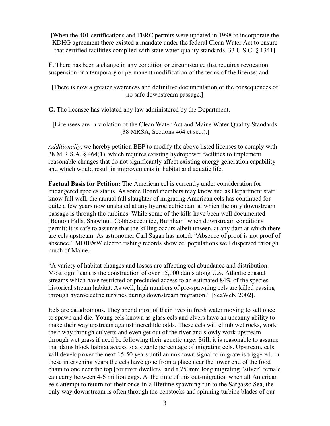[When the 401 certifications and FERC permits were updated in 1998 to incorporate the KDHG agreement there existed a mandate under the federal Clean Water Act to ensure that certified facilities complied with state water quality standards. 33 U.S.C. § 1341]

**F.** There has been a change in any condition or circumstance that requires revocation, suspension or a temporary or permanent modification of the terms of the license; and

[There is now a greater awareness and definitive documentation of the consequences of no safe downstream passage.]

**G.** The licensee has violated any law administered by the Department.

[Licensees are in violation of the Clean Water Act and Maine Water Quality Standards (38 MRSA, Sections 464 et seq.).]

*Additionally*, we hereby petition BEP to modify the above listed licenses to comply with 38 M.R.S.A. § 464(1), which requires existing hydropower facilities to implement reasonable changes that do not significantly affect existing energy generation capability and which would result in improvements in habitat and aquatic life.

**Factual Basis for Petition:** The American eel is currently under consideration for endangered species status. As some Board members may know and as Department staff know full well, the annual fall slaughter of migrating American eels has continued for quite a few years now unabated at any hydroelectric dam at which the only downstream passage is through the turbines. While some of the kills have been well documented [Benton Falls, Shawmut, Cobbeseecontee, Burnham] when downstream conditions permit; it is safe to assume that the killing occurs albeit unseen, at any dam at which there are eels upstream. As astronomer Carl Sagan has noted: "Absence of proof is not proof of absence." MDIF&W electro fishing records show eel populations well dispersed through much of Maine.

"A variety of habitat changes and losses are affecting eel abundance and distribution. Most significant is the construction of over 15,000 dams along U.S. Atlantic coastal streams which have restricted or precluded access to an estimated 84% of the species historical stream habitat. As well, high numbers of pre-spawning eels are killed passing through hydroelectric turbines during downstream migration." [SeaWeb, 2002].

Eels are catadromous. They spend most of their lives in fresh water moving to salt once to spawn and die. Young eels known as glass eels and elvers have an uncanny ability to make their way upstream against incredible odds. These eels will climb wet rocks, work their way through culverts and even get out of the river and slowly work upstream through wet grass if need be following their genetic urge. Still, it is reasonable to assume that dams block habitat access to a sizable percentage of migrating eels. Upstream, eels will develop over the next 15-50 years until an unknown signal to migrate is triggered. In these intervening years the eels have gone from a place near the lower end of the food chain to one near the top [for river dwellers] and a 750mm long migrating "silver" female can carry between 4-6 million eggs. At the time of this out-migration when all American eels attempt to return for their once-in-a-lifetime spawning run to the Sargasso Sea, the only way downstream is often through the penstocks and spinning turbine blades of our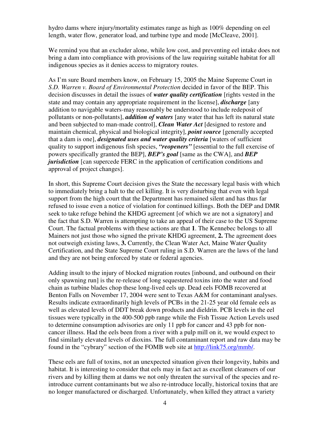hydro dams where injury/mortality estimates range as high as 100% depending on eel length, water flow, generator load, and turbine type and mode [McCleave, 2001].

We remind you that an excluder alone, while low cost, and preventing eel intake does not bring a dam into compliance with provisions of the law requiring suitable habitat for all indigenous species as it denies access to migratory routes.

As I'm sure Board members know, on February 15, 2005 the Maine Supreme Court in *S.D. Warren v. Board of Environmental Protection* decided in favor of the BEP. This decision discusses in detail the issues of *water quality certification* [rights vested in the state and may contain any appropriate requirement in the license], *discharge* [any addition to navigable waters-may reasonably be understood to include redeposit of pollutants or non-pollutants], *addition of waters* [any water that has left its natural state and been subjected to man-made control], *Clean Water Act* [designed to restore and maintain chemical, physical and biological integrity], *point source* [generally accepted that a dam is one], *designated uses and water quality criteria* [waters of sufficient quality to support indigenous fish species, *"reopeners"* [essential to the full exercise of powers specifically granted the BEP], *BEP's goal* [same as the CWA], and *BEP jurisdiction* [can supercede FERC in the application of certification conditions and approval of project changes].

In short, this Supreme Court decision gives the State the necessary legal basis with which to immediately bring a halt to the eel killing. It is very disturbing that even with legal support from the high court that the Department has remained silent and has thus far refused to issue even a notice of violation for continued killings. Both the DEP and DMR seek to take refuge behind the KHDG agreement [of which we are not a signatory] and the fact that S.D. Warren is attempting to take an appeal of their case to the US Supreme Court. The factual problems with these actions are that **1**. The Kennebec belongs to all Mainers not just those who signed the private KHDG agreement, **2.** The agreement does not outweigh existing laws, **3.** Currently, the Clean Water Act, Maine Water Quality Certification, and the State Supreme Court ruling in S.D. Warren are the laws of the land and they are not being enforced by state or federal agencies.

Adding insult to the injury of blocked migration routes [inbound, and outbound on their only spawning run] is the re-release of long sequestered toxins into the water and food chain as turbine blades chop these long-lived eels up. Dead eels FOMB recovered at Benton Falls on November 17, 2004 were sent to Texas A&M for contaminant analyses. Results indicate extraordinarily high levels of PCBs in the 21-25 year old female eels as well as elevated levels of DDT break down products and dieldrin. PCB levels in the eel tissues were typically in the 400-500 ppb range while the Fish Tissue Action Levels used to determine consumption advisories are only 11 ppb for cancer and 43 ppb for noncancer illness. Had the eels been from a river with a pulp mill on it, we would expect to find similarly elevated levels of dioxins. The full contaminant report and raw data may be found in the "cybrary" section of the FOMB web site at http://link75.org/mmb/.

These eels are full of toxins, not an unexpected situation given their longevity, habits and habitat. It is interesting to consider that eels may in fact act as excellent cleansers of our rivers and by killing them at dams we not only threaten the survival of the species and reintroduce current contaminants but we also re-introduce locally, historical toxins that are no longer manufactured or discharged. Unfortunately, when killed they attract a variety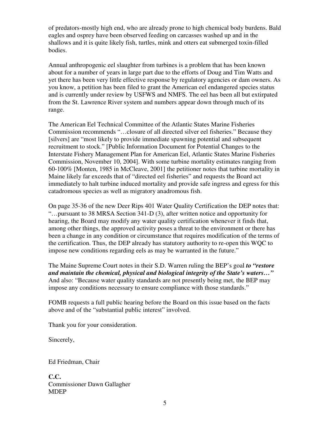of predators-mostly high end, who are already prone to high chemical body burdens. Bald eagles and osprey have been observed feeding on carcasses washed up and in the shallows and it is quite likely fish, turtles, mink and otters eat submerged toxin-filled bodies.

Annual anthropogenic eel slaughter from turbines is a problem that has been known about for a number of years in large part due to the efforts of Doug and Tim Watts and yet there has been very little effective response by regulatory agencies or dam owners. As you know, a petition has been filed to grant the American eel endangered species status and is currently under review by USFWS and NMFS. The eel has been all but extirpated from the St. Lawrence River system and numbers appear down through much of its range.

The American Eel Technical Committee of the Atlantic States Marine Fisheries Commission recommends "…closure of all directed silver eel fisheries." Because they [silvers] are "most likely to provide immediate spawning potential and subsequent recruitment to stock." [Public Information Document for Potential Changes to the Interstate Fishery Management Plan for American Eel, Atlantic States Marine Fisheries Commission, November 10, 2004]. With some turbine mortality estimates ranging from 60-100% [Monten, 1985 in McCleave, 2001] the petitioner notes that turbine mortality in Maine likely far exceeds that of "directed eel fisheries" and requests the Board act immediately to halt turbine induced mortality and provide safe ingress and egress for this catadromous species as well as migratory anadromous fish.

On page 35-36 of the new Deer Rips 401 Water Quality Certification the DEP notes that: "…pursuant to 38 MRSA Section 341-D (3), after written notice and opportunity for hearing, the Board may modify any water quality certification whenever it finds that, among other things, the approved activity poses a threat to the environment or there has been a change in any condition or circumstance that requires modification of the terms of the certification. Thus, the DEP already has statutory authority to re-open this WQC to impose new conditions regarding eels as may be warranted in the future."

The Maine Supreme Court notes in their S.D. Warren ruling the BEP's goal *to "restore and maintain the chemical, physical and biological integrity of the State's waters…"* And also: "Because water quality standards are not presently being met, the BEP may impose any conditions necessary to ensure compliance with those standards."

FOMB requests a full public hearing before the Board on this issue based on the facts above and of the "substantial public interest" involved.

Thank you for your consideration.

Sincerely,

Ed Friedman, Chair

**C.C.**  Commissioner Dawn Gallagher MDEP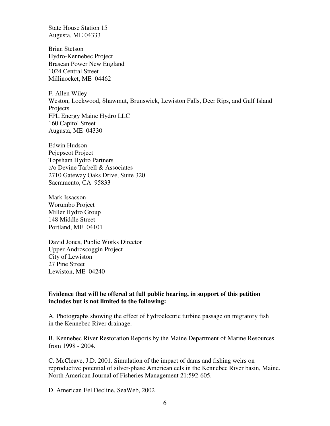State House Station 15 Augusta, ME 04333

Brian Stetson Hydro-Kennebec Project Brascan Power New England 1024 Central Street Millinocket, ME 04462

F. Allen Wiley Weston, Lockwood, Shawmut, Brunswick, Lewiston Falls, Deer Rips, and Gulf Island **Projects** FPL Energy Maine Hydro LLC 160 Capitol Street Augusta, ME 04330

Edwin Hudson Pejepscot Project Topsham Hydro Partners c/o Devine Tarbell & Associates 2710 Gateway Oaks Drive, Suite 320 Sacramento, CA 95833

Mark Issacson Worumbo Project Miller Hydro Group 148 Middle Street Portland, ME 04101

David Jones, Public Works Director Upper Androscoggin Project City of Lewiston 27 Pine Street Lewiston, ME 04240

## **Evidence that will be offered at full public hearing, in support of this petition includes but is not limited to the following:**

A. Photographs showing the effect of hydroelectric turbine passage on migratory fish in the Kennebec River drainage.

B. Kennebec River Restoration Reports by the Maine Department of Marine Resources from 1998 - 2004.

C. McCleave, J.D. 2001. Simulation of the impact of dams and fishing weirs on reproductive potential of silver-phase American eels in the Kennebec River basin, Maine. North American Journal of Fisheries Management 21:592-605.

D. American Eel Decline, SeaWeb, 2002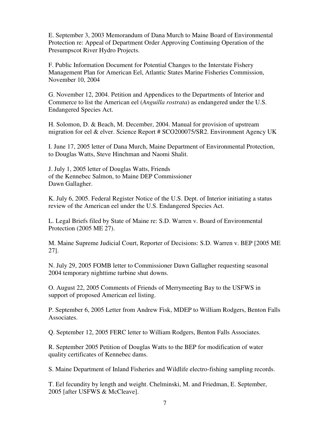E. September 3, 2003 Memorandum of Dana Murch to Maine Board of Environmental Protection re: Appeal of Department Order Approving Continuing Operation of the Presumpscot River Hydro Projects.

F. Public Information Document for Potential Changes to the Interstate Fishery Management Plan for American Eel, Atlantic States Marine Fisheries Commission, November 10, 2004

G. November 12, 2004. Petition and Appendices to the Departments of Interior and Commerce to list the American eel (*Anguilla rostrata*) as endangered under the U.S. Endangered Species Act.

H. Solomon, D. & Beach, M. December, 2004. Manual for provision of upstream migration for eel & elver. Science Report # SCO200075/SR2. Environment Agency UK

I. June 17, 2005 letter of Dana Murch, Maine Department of Environmental Protection, to Douglas Watts, Steve Hinchman and Naomi Shalit.

J. July 1, 2005 letter of Douglas Watts, Friends of the Kennebec Salmon, to Maine DEP Commissioner Dawn Gallagher.

K. July 6, 2005. Federal Register Notice of the U.S. Dept. of Interior initiating a status review of the American eel under the U.S. Endangered Species Act.

L. Legal Briefs filed by State of Maine re: S.D. Warren v. Board of Environmental Protection (2005 ME 27).

M. Maine Supreme Judicial Court, Reporter of Decisions: S.D. Warren v. BEP [2005 ME 27].

N. July 29, 2005 FOMB letter to Commissioner Dawn Gallagher requesting seasonal 2004 temporary nighttime turbine shut downs.

O. August 22, 2005 Comments of Friends of Merrymeeting Bay to the USFWS in support of proposed American eel listing.

P. September 6, 2005 Letter from Andrew Fisk, MDEP to William Rodgers, Benton Falls Associates.

Q. September 12, 2005 FERC letter to William Rodgers, Benton Falls Associates.

R. September 2005 Petition of Douglas Watts to the BEP for modification of water quality certificates of Kennebec dams.

S. Maine Department of Inland Fisheries and Wildlife electro-fishing sampling records.

T. Eel fecundity by length and weight. Chelminski, M. and Friedman, E. September, 2005 [after USFWS & McCleave].